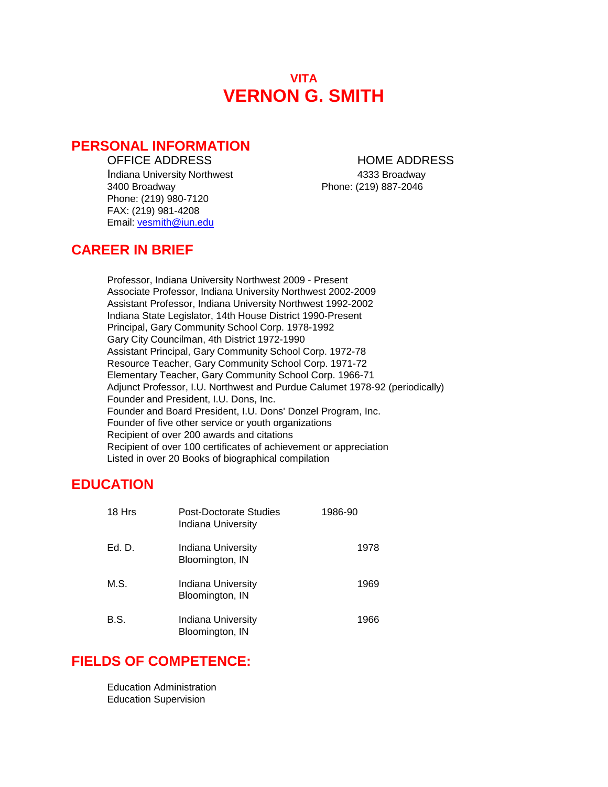# **VITA VERNON G. SMITH**

### **PERSONAL INFORMATION**

Indiana University Northwest 1986 and 1333 Broadway 3400 Broadway Phone: (219) 887-2046 Phone: (219) 980-7120 FAX: (219) 981-4208 Email: [vesmith@iun.edu](mailto:vesmith@iun.edu)

### OFFICE ADDRESS HOME ADDRESS

# **CAREER IN BRIEF**

Professor, Indiana University Northwest 2009 - Present Associate Professor, Indiana University Northwest 2002-2009 Assistant Professor, Indiana University Northwest 1992-2002 Indiana State Legislator, 14th House District 1990-Present Principal, Gary Community School Corp. 1978-1992 Gary City Councilman, 4th District 1972-1990 Assistant Principal, Gary Community School Corp. 1972-78 Resource Teacher, Gary Community School Corp. 1971-72 Elementary Teacher, Gary Community School Corp. 1966-71 Adjunct Professor, I.U. Northwest and Purdue Calumet 1978-92 (periodically) Founder and President, I.U. Dons, Inc. Founder and Board President, I.U. Dons' Donzel Program, Inc. Founder of five other service or youth organizations Recipient of over 200 awards and citations Recipient of over 100 certificates of achievement or appreciation Listed in over 20 Books of biographical compilation

# **EDUCATION**

| 18 Hrs | <b>Post-Doctorate Studies</b><br>Indiana University | 1986-90 |
|--------|-----------------------------------------------------|---------|
| Ed. D. | Indiana University<br>Bloomington, IN               | 1978    |
| M.S.   | Indiana University<br>Bloomington, IN               | 1969    |
| B.S.   | Indiana University<br>Bloomington, IN               | 1966    |

# **FIELDS OF COMPETENCE:**

Education Administration Education Supervision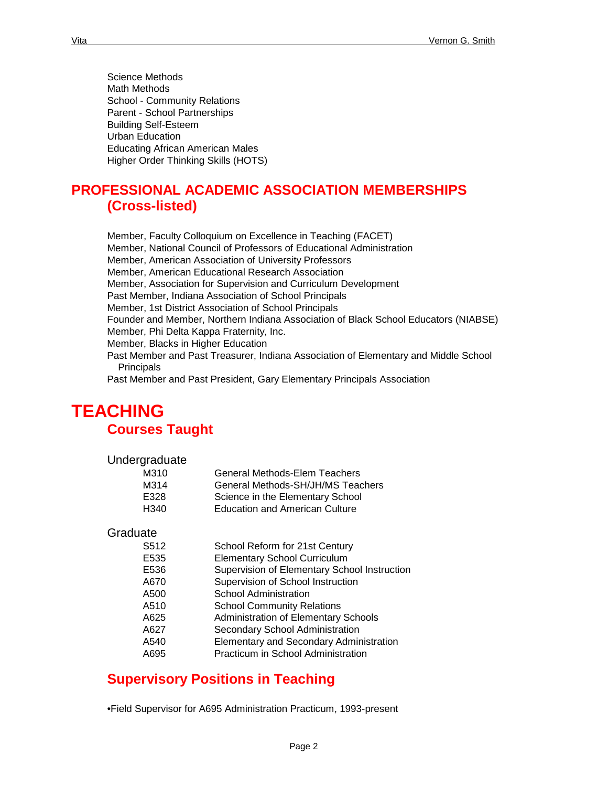Science Methods Math Methods School - Community Relations Parent - School Partnerships Building Self-Esteem Urban Education Educating African American Males Higher Order Thinking Skills (HOTS)

# **PROFESSIONAL ACADEMIC ASSOCIATION MEMBERSHIPS (Cross-listed)**

Member, Faculty Colloquium on Excellence in Teaching (FACET) Member, National Council of Professors of Educational Administration Member, American Association of University Professors Member, American Educational Research Association Member, Association for Supervision and Curriculum Development Past Member, Indiana Association of School Principals Member, 1st District Association of School Principals Founder and Member, Northern Indiana Association of Black School Educators (NIABSE) Member, Phi Delta Kappa Fraternity, Inc. Member, Blacks in Higher Education Past Member and Past Treasurer, Indiana Association of Elementary and Middle School **Principals** Past Member and Past President, Gary Elementary Principals Association

# **TEACHING Courses Taught**

| Undergraduate |                                       |
|---------------|---------------------------------------|
| M310          | <b>General Methods-Elem Teachers</b>  |
| M314          | General Methods-SH/JH/MS Teachers     |
| E328          | Science in the Elementary School      |
| H340          | <b>Education and American Culture</b> |

#### **Graduate**

| S <sub>512</sub> | School Reform for 21st Century                 |
|------------------|------------------------------------------------|
| E535             | <b>Elementary School Curriculum</b>            |
| E536             | Supervision of Elementary School Instruction   |
| A670             | Supervision of School Instruction              |
| A500             | <b>School Administration</b>                   |
| A510             | <b>School Community Relations</b>              |
| A625             | Administration of Elementary Schools           |
| A627             | Secondary School Administration                |
| A540             | <b>Elementary and Secondary Administration</b> |
| A695             | Practicum in School Administration             |
|                  |                                                |

# **Supervisory Positions in Teaching**

•Field Supervisor for A695 Administration Practicum, 1993-present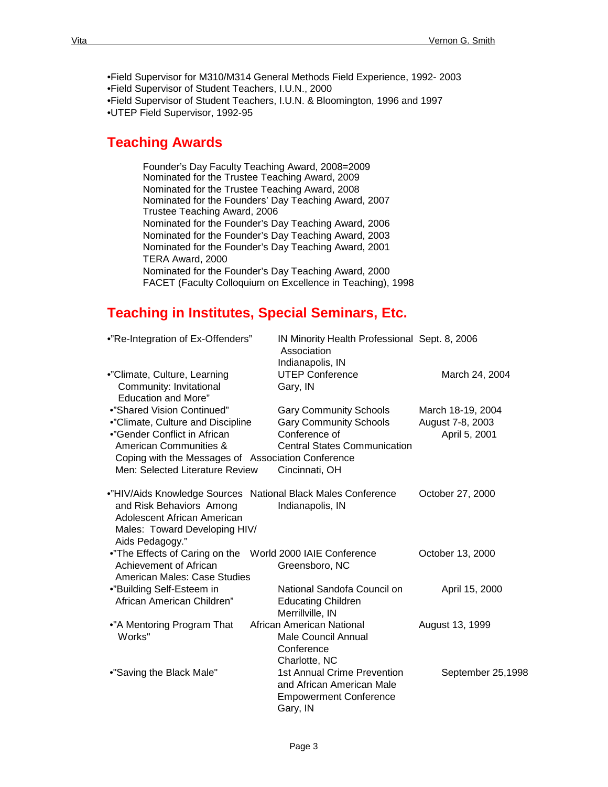•Field Supervisor for M310/M314 General Methods Field Experience, 1992- 2003 •Field Supervisor of Student Teachers, I.U.N., 2000 •Field Supervisor of Student Teachers, I.U.N. & Bloomington, 1996 and 1997 •UTEP Field Supervisor, 1992-95

# **Teaching Awards**

Founder's Day Faculty Teaching Award, 2008=2009 Nominated for the Trustee Teaching Award, 2009 Nominated for the Trustee Teaching Award, 2008 Nominated for the Founders' Day Teaching Award, 2007 Trustee Teaching Award, 2006 Nominated for the Founder's Day Teaching Award, 2006 Nominated for the Founder's Day Teaching Award, 2003 Nominated for the Founder's Day Teaching Award, 2001 TERA Award, 2000 Nominated for the Founder's Day Teaching Award, 2000 FACET (Faculty Colloquium on Excellence in Teaching), 1998

# **Teaching in Institutes, Special Seminars, Etc.**

| •"Re-Integration of Ex-Offenders"                                                                           | IN Minority Health Professional Sept. 8, 2006<br>Association<br>Indianapolis, IN                             |                   |
|-------------------------------------------------------------------------------------------------------------|--------------------------------------------------------------------------------------------------------------|-------------------|
| •"Climate, Culture, Learning<br>Community: Invitational<br><b>Education and More"</b>                       | <b>UTEP Conference</b><br>Gary, IN                                                                           | March 24, 2004    |
| •"Shared Vision Continued"                                                                                  | <b>Gary Community Schools</b>                                                                                | March 18-19, 2004 |
| •"Climate, Culture and Discipline                                                                           | <b>Gary Community Schools</b>                                                                                | August 7-8, 2003  |
| •"Gender Conflict in African<br>American Communities &                                                      | Conference of<br><b>Central States Communication</b>                                                         | April 5, 2001     |
| Coping with the Messages of Association Conference                                                          |                                                                                                              |                   |
| Men: Selected Literature Review                                                                             | Cincinnati, OH                                                                                               |                   |
| and Risk Behaviors Among<br>Adolescent African American<br>Males: Toward Developing HIV/<br>Aids Pedagogy." | •"HIV/Aids Knowledge Sources National Black Males Conference<br>Indianapolis, IN                             | October 27, 2000  |
| •"The Effects of Caring on the<br>Achievement of African                                                    | World 2000 IAIE Conference<br>Greensboro, NC                                                                 | October 13, 2000  |
| American Males: Case Studies<br>•"Building Self-Esteem in                                                   | National Sandofa Council on                                                                                  | April 15, 2000    |
| African American Children"                                                                                  | <b>Educating Children</b><br>Merrillville, IN                                                                |                   |
| •"A Mentoring Program That<br>Works"                                                                        | African American National<br><b>Male Council Annual</b><br>Conference<br>Charlotte, NC                       | August 13, 1999   |
| •"Saving the Black Male"                                                                                    | <b>1st Annual Crime Prevention</b><br>and African American Male<br><b>Empowerment Conference</b><br>Gary, IN | September 25,1998 |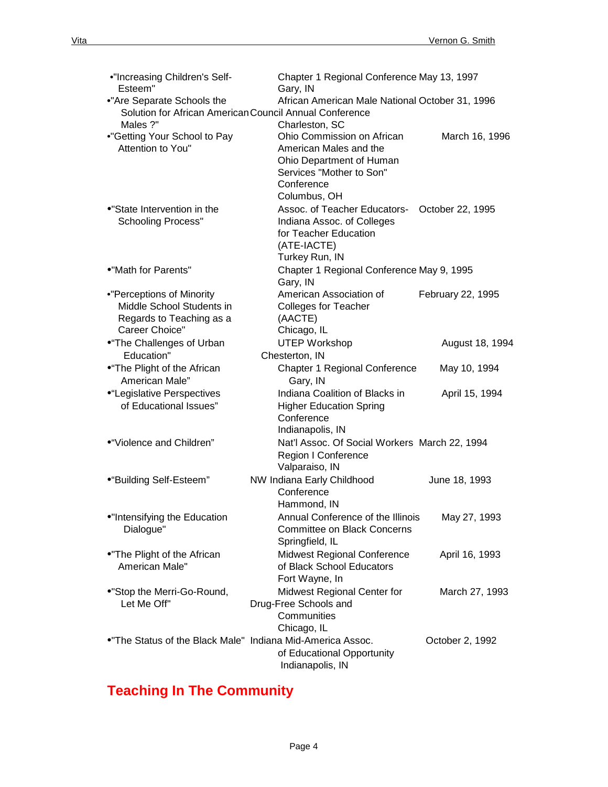| •"Increasing Children's Self-<br>Esteem"                   | Chapter 1 Regional Conference May 13, 1997<br>Gary, IN          |                   |
|------------------------------------------------------------|-----------------------------------------------------------------|-------------------|
| •"Are Separate Schools the                                 | African American Male National October 31, 1996                 |                   |
| Solution for African American Council Annual Conference    |                                                                 |                   |
| Males ?"                                                   | Charleston, SC                                                  |                   |
| •"Getting Your School to Pay                               | Ohio Commission on African                                      | March 16, 1996    |
| Attention to You"                                          | American Males and the                                          |                   |
|                                                            | Ohio Department of Human                                        |                   |
|                                                            | Services "Mother to Son"                                        |                   |
|                                                            | Conference                                                      |                   |
|                                                            | Columbus, OH                                                    |                   |
| •"State Intervention in the                                | Assoc. of Teacher Educators-                                    | October 22, 1995  |
| <b>Schooling Process"</b>                                  | Indiana Assoc. of Colleges                                      |                   |
|                                                            | for Teacher Education                                           |                   |
|                                                            | (ATE-IACTE)                                                     |                   |
|                                                            | Turkey Run, IN                                                  |                   |
| •"Math for Parents"                                        | Chapter 1 Regional Conference May 9, 1995                       |                   |
|                                                            | Gary, IN                                                        |                   |
| •"Perceptions of Minority                                  | American Association of                                         | February 22, 1995 |
| Middle School Students in                                  | <b>Colleges for Teacher</b>                                     |                   |
| Regards to Teaching as a                                   | (AACTE)                                                         |                   |
| Career Choice"                                             | Chicago, IL                                                     |                   |
| •"The Challenges of Urban                                  | <b>UTEP Workshop</b>                                            | August 18, 1994   |
| Education"                                                 | Chesterton, IN                                                  |                   |
| •"The Plight of the African                                | Chapter 1 Regional Conference                                   | May 10, 1994      |
| American Male"                                             | Gary, IN                                                        |                   |
| •"Legislative Perspectives                                 | Indiana Coalition of Blacks in                                  | April 15, 1994    |
| of Educational Issues"                                     | <b>Higher Education Spring</b>                                  |                   |
|                                                            | Conference                                                      |                   |
|                                                            | Indianapolis, IN                                                |                   |
| ●"Violence and Children"                                   | Nat'l Assoc. Of Social Workers March 22, 1994                   |                   |
|                                                            | Region I Conference                                             |                   |
|                                                            | Valparaiso, IN                                                  |                   |
| ●"Building Self-Esteem"                                    | NW Indiana Early Childhood                                      | June 18, 1993     |
|                                                            | Conference                                                      |                   |
|                                                            | Hammond, IN                                                     |                   |
| •"Intensifying the Education                               | Annual Conference of the Illinois                               | May 27, 1993      |
| Dialogue"                                                  | <b>Committee on Black Concerns</b>                              |                   |
|                                                            | Springfield, IL                                                 |                   |
| •"The Plight of the African<br>American Male"              | <b>Midwest Regional Conference</b><br>of Black School Educators | April 16, 1993    |
|                                                            | Fort Wayne, In                                                  |                   |
| •"Stop the Merri-Go-Round,                                 | Midwest Regional Center for                                     | March 27, 1993    |
| Let Me Off"                                                | Drug-Free Schools and                                           |                   |
|                                                            | Communities                                                     |                   |
|                                                            | Chicago, IL                                                     |                   |
| . The Status of the Black Male" Indiana Mid-America Assoc. |                                                                 | October 2, 1992   |
|                                                            | of Educational Opportunity                                      |                   |
|                                                            | Indianapolis, IN                                                |                   |

# **Teaching In The Community**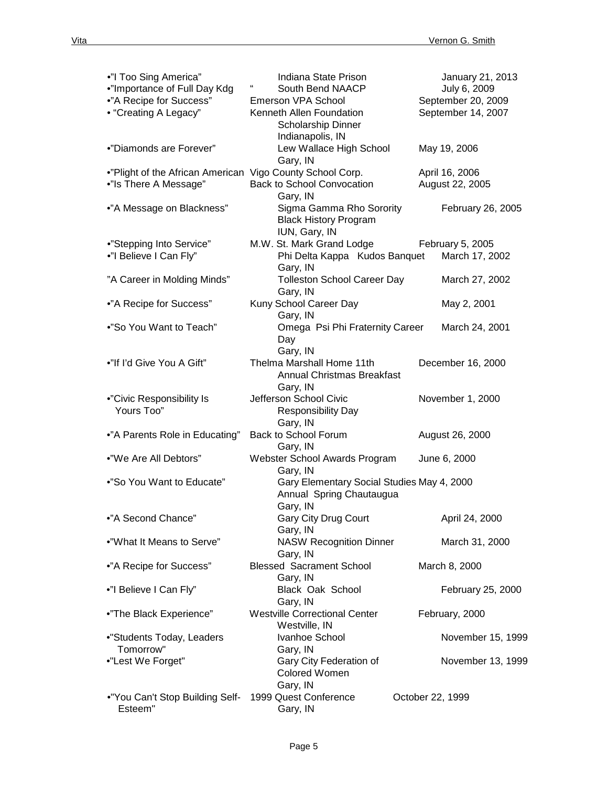| •"I Too Sing America"                                     | Indiana State Prison                          | January 21, 2013   |
|-----------------------------------------------------------|-----------------------------------------------|--------------------|
| •"Importance of Full Day Kdg                              | South Bend NAACP                              | July 6, 2009       |
| •"A Recipe for Success"                                   | Emerson VPA School                            | September 20, 2009 |
| • "Creating A Legacy"                                     | Kenneth Allen Foundation                      | September 14, 2007 |
|                                                           | Scholarship Dinner                            |                    |
|                                                           | Indianapolis, IN                              |                    |
| •"Diamonds are Forever"                                   | Lew Wallace High School                       | May 19, 2006       |
|                                                           | Gary, IN                                      |                    |
| ."Plight of the African American Vigo County School Corp. |                                               | April 16, 2006     |
| •"Is There A Message"                                     | Back to School Convocation                    | August 22, 2005    |
|                                                           | Gary, IN                                      |                    |
| •"A Message on Blackness"                                 | Sigma Gamma Rho Sorority                      | February 26, 2005  |
|                                                           | <b>Black History Program</b><br>IUN, Gary, IN |                    |
| •"Stepping Into Service"                                  | M.W. St. Mark Grand Lodge                     | February 5, 2005   |
| •"I Believe I Can Fly"                                    | Phi Delta Kappa Kudos Banquet                 | March 17, 2002     |
|                                                           | Gary, IN                                      |                    |
| "A Career in Molding Minds"                               | <b>Tolleston School Career Day</b>            | March 27, 2002     |
|                                                           | Gary, IN                                      |                    |
| •"A Recipe for Success"                                   | Kuny School Career Day                        | May 2, 2001        |
|                                                           | Gary, IN                                      |                    |
| •"So You Want to Teach"                                   | Omega Psi Phi Fraternity Career               | March 24, 2001     |
|                                                           | Day                                           |                    |
|                                                           | Gary, IN                                      |                    |
| •"If I'd Give You A Gift"                                 | Thelma Marshall Home 11th                     | December 16, 2000  |
|                                                           | <b>Annual Christmas Breakfast</b>             |                    |
|                                                           | Gary, IN                                      |                    |
| •"Civic Responsibility Is                                 | Jefferson School Civic                        | November 1, 2000   |
| Yours Too"                                                | Responsibility Day                            |                    |
|                                                           | Gary, IN                                      |                    |
| •"A Parents Role in Educating"                            | Back to School Forum                          | August 26, 2000    |
|                                                           | Gary, IN                                      |                    |
| •"We Are All Debtors"                                     | Webster School Awards Program                 | June 6, 2000       |
|                                                           | Gary, IN                                      |                    |
| •"So You Want to Educate"                                 | Gary Elementary Social Studies May 4, 2000    |                    |
|                                                           | Annual Spring Chautaugua                      |                    |
|                                                           | Gary, IN                                      |                    |
| •"A Second Chance"                                        | Gary City Drug Court                          | April 24, 2000     |
| •"What It Means to Serve"                                 | Gary, IN<br><b>NASW Recognition Dinner</b>    | March 31, 2000     |
|                                                           | Gary, IN                                      |                    |
| •"A Recipe for Success"                                   | <b>Blessed Sacrament School</b>               | March 8, 2000      |
|                                                           | Gary, IN                                      |                    |
| •"I Believe I Can Fly"                                    | Black Oak School                              | February 25, 2000  |
|                                                           | Gary, IN                                      |                    |
| •"The Black Experience"                                   | <b>Westville Correctional Center</b>          | February, 2000     |
|                                                           | Westville, IN                                 |                    |
| •"Students Today, Leaders                                 | Ivanhoe School                                | November 15, 1999  |
| Tomorrow"                                                 | Gary, IN                                      |                    |
| •"Lest We Forget"                                         | Gary City Federation of                       | November 13, 1999  |
|                                                           | Colored Women                                 |                    |
|                                                           | Gary, IN                                      |                    |
| •"You Can't Stop Building Self-                           | 1999 Quest Conference                         | October 22, 1999   |
| Esteem"                                                   | Gary, IN                                      |                    |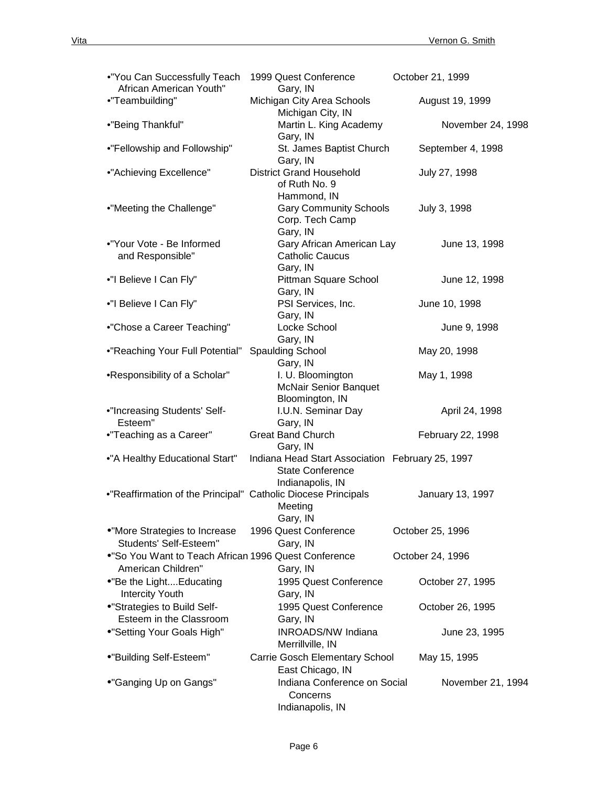| •"You Can Successfully Teach<br>African American Youth"                     | 1999 Quest Conference<br>Gary, IN                                                               | October 21, 1999  |
|-----------------------------------------------------------------------------|-------------------------------------------------------------------------------------------------|-------------------|
| •"Teambuilding"                                                             | Michigan City Area Schools                                                                      | August 19, 1999   |
| •"Being Thankful"                                                           | Michigan City, IN<br>Martin L. King Academy<br>Gary, IN                                         | November 24, 1998 |
| •"Fellowship and Followship"                                                | St. James Baptist Church<br>Gary, IN                                                            | September 4, 1998 |
| •"Achieving Excellence"                                                     | <b>District Grand Household</b><br>of Ruth No. 9<br>Hammond, IN                                 | July 27, 1998     |
| •"Meeting the Challenge"                                                    | <b>Gary Community Schools</b><br>Corp. Tech Camp<br>Gary, IN                                    | July 3, 1998      |
| •"Your Vote - Be Informed<br>and Responsible"                               | Gary African American Lay<br><b>Catholic Caucus</b><br>Gary, IN                                 | June 13, 1998     |
| •"I Believe I Can Fly"                                                      | Pittman Square School<br>Gary, IN                                                               | June 12, 1998     |
| •"I Believe I Can Fly"                                                      | PSI Services, Inc.<br>Gary, IN                                                                  | June 10, 1998     |
| •"Chose a Career Teaching"                                                  | Locke School<br>Gary, IN                                                                        | June 9, 1998      |
| •"Reaching Your Full Potential"                                             | <b>Spaulding School</b><br>Gary, IN                                                             | May 20, 1998      |
| •Responsibility of a Scholar"                                               | I. U. Bloomington<br><b>McNair Senior Banquet</b><br>Bloomington, IN                            | May 1, 1998       |
| •"Increasing Students' Self-<br>Esteem"                                     | I.U.N. Seminar Day<br>Gary, IN                                                                  | April 24, 1998    |
| •"Teaching as a Career"                                                     | <b>Great Band Church</b><br>Gary, IN                                                            | February 22, 1998 |
| •"A Healthy Educational Start"                                              | Indiana Head Start Association February 25, 1997<br><b>State Conference</b><br>Indianapolis, IN |                   |
| •"Reaffirmation of the Principal" Catholic Diocese Principals               | Meeting<br>Gary, IN                                                                             | January 13, 1997  |
| •"More Strategies to Increase<br>Students' Self-Esteem"                     | 1996 Quest Conference<br>Gary, IN                                                               | October 25, 1996  |
| . "So You Want to Teach African 1996 Quest Conference<br>American Children" | Gary, IN                                                                                        | October 24, 1996  |
| •"Be the LightEducating<br><b>Intercity Youth</b>                           | 1995 Quest Conference<br>Gary, IN                                                               | October 27, 1995  |
| •"Strategies to Build Self-<br>Esteem in the Classroom                      | 1995 Quest Conference<br>Gary, IN                                                               | October 26, 1995  |
| •"Setting Your Goals High"                                                  | <b>INROADS/NW Indiana</b>                                                                       | June 23, 1995     |
| ●"Building Self-Esteem"                                                     | Merrillville, IN<br>Carrie Gosch Elementary School                                              | May 15, 1995      |
| •"Ganging Up on Gangs"                                                      | East Chicago, IN<br>Indiana Conference on Social<br>Concerns<br>Indianapolis, IN                | November 21, 1994 |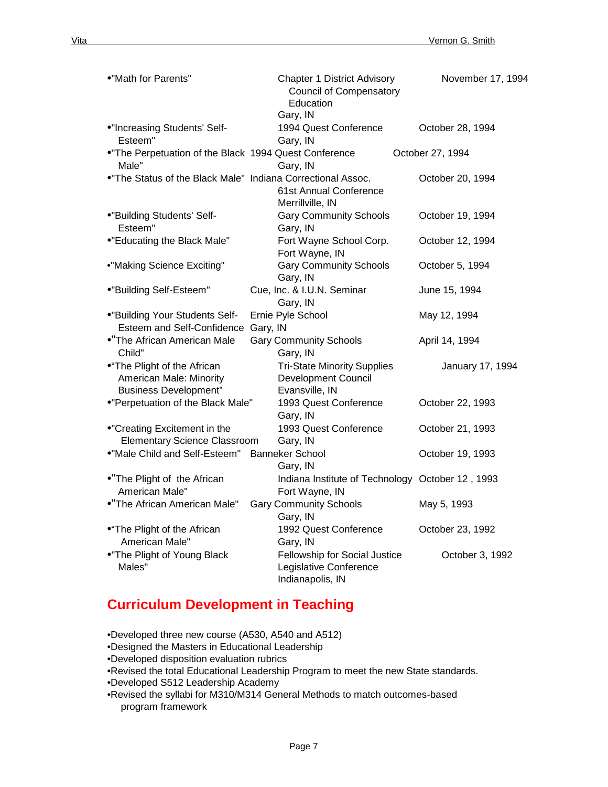| •"Math for Parents"                                                                    | <b>Chapter 1 District Advisory</b><br><b>Council of Compensatory</b><br>Education<br>Gary, IN | November 17, 1994 |
|----------------------------------------------------------------------------------------|-----------------------------------------------------------------------------------------------|-------------------|
| •"Increasing Students' Self-<br>Esteem"                                                | 1994 Quest Conference<br>Gary, IN                                                             | October 28, 1994  |
| . The Perpetuation of the Black 1994 Quest Conference<br>Male"                         | Gary, IN                                                                                      | October 27, 1994  |
| . The Status of the Black Male" Indiana Correctional Assoc.                            | 61st Annual Conference<br>Merrillville, IN                                                    | October 20, 1994  |
| •"Building Students' Self-<br>Esteem"                                                  | <b>Gary Community Schools</b><br>Gary, IN                                                     | October 19, 1994  |
| •"Educating the Black Male"                                                            | Fort Wayne School Corp.<br>Fort Wayne, IN                                                     | October 12, 1994  |
| •"Making Science Exciting"                                                             | <b>Gary Community Schools</b><br>Gary, IN                                                     | October 5, 1994   |
| •"Building Self-Esteem"                                                                | Cue, Inc. & I.U.N. Seminar<br>Gary, IN                                                        | June 15, 1994     |
| •"Building Your Students Self-<br>Esteem and Self-Confidence                           | Ernie Pyle School<br>Gary, IN                                                                 | May 12, 1994      |
| •"The African American Male<br>Child"                                                  | <b>Gary Community Schools</b><br>Gary, IN                                                     | April 14, 1994    |
| •"The Plight of the African<br>American Male: Minority<br><b>Business Development"</b> | <b>Tri-State Minority Supplies</b><br>Development Council<br>Evansville, IN                   | January 17, 1994  |
| •"Perpetuation of the Black Male"                                                      | 1993 Quest Conference<br>Gary, IN                                                             | October 22, 1993  |
| •"Creating Excitement in the<br><b>Elementary Science Classroom</b>                    | 1993 Quest Conference<br>Gary, IN                                                             | October 21, 1993  |
| . "Male Child and Self-Esteem"                                                         | <b>Banneker School</b><br>Gary, IN                                                            | October 19, 1993  |
| •"The Plight of the African<br>American Male"                                          | Indiana Institute of Technology October 12, 1993<br>Fort Wayne, IN                            |                   |
| •"The African American Male"                                                           | <b>Gary Community Schools</b><br>Gary, IN                                                     | May 5, 1993       |
| •"The Plight of the African<br>American Male"                                          | 1992 Quest Conference<br>Gary, IN                                                             | October 23, 1992  |
| .The Plight of Young Black<br>Males"                                                   | Fellowship for Social Justice<br>Legislative Conference<br>Indianapolis, IN                   | October 3, 1992   |

# **Curriculum Development in Teaching**

•Developed three new course (A530, A540 and A512)

- •Designed the Masters in Educational Leadership
- •Developed disposition evaluation rubrics

•Revised the total Educational Leadership Program to meet the new State standards.

•Developed S512 Leadership Academy

•Revised the syllabi for M310/M314 General Methods to match outcomes-based program framework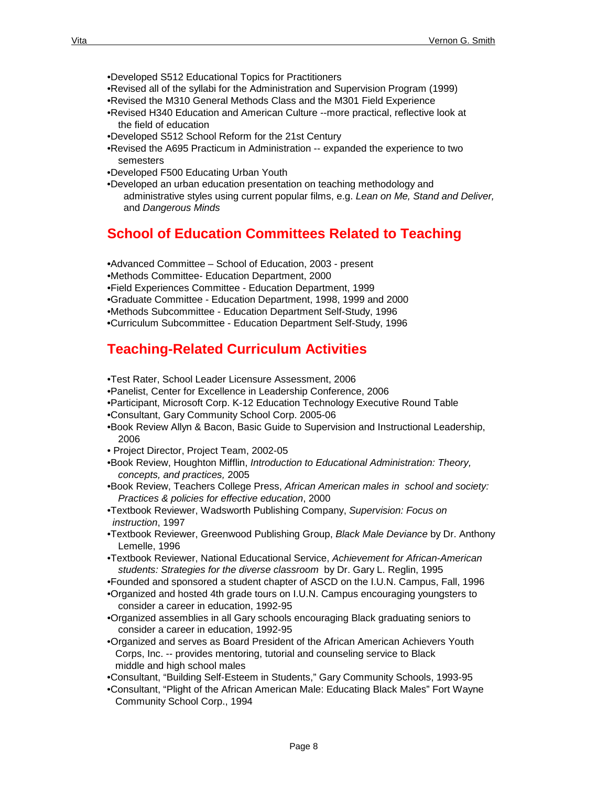- •Developed S512 Educational Topics for Practitioners
- •Revised all of the syllabi for the Administration and Supervision Program (1999)
- •Revised the M310 General Methods Class and the M301 Field Experience
- •Revised H340 Education and American Culture --more practical, reflective look at the field of education
- •Developed S512 School Reform for the 21st Century
- •Revised the A695 Practicum in Administration -- expanded the experience to two semesters
- •Developed F500 Educating Urban Youth
- •Developed an urban education presentation on teaching methodology and administrative styles using current popular films, e.g. *Lean on Me, Stand and Deliver,* and *Dangerous Minds*

# **School of Education Committees Related to Teaching**

**•**Advanced Committee – School of Education, 2003 - present •Methods Committee- Education Department, 2000 •Field Experiences Committee - Education Department, 1999 **•**Graduate Committee - Education Department, 1998, 1999 and 2000 •Methods Subcommittee - Education Department Self-Study, 1996 **•**Curriculum Subcommittee - Education Department Self-Study, 1996

# **Teaching-Related Curriculum Activities**

- •Test Rater, School Leader Licensure Assessment, 2006
- •Panelist, Center for Excellence in Leadership Conference, 2006
- •Participant, Microsoft Corp. K-12 Education Technology Executive Round Table
- •Consultant, Gary Community School Corp. 2005-06
- •Book Review Allyn & Bacon, Basic Guide to Supervision and Instructional Leadership, 2006
- Project Director, Project Team, 2002-05
- •Book Review, Houghton Mifflin, *Introduction to Educational Administration: Theory, concepts, and practices,* 2005
- •Book Review, Teachers College Press, *African American males in school and society: Practices & policies for effective education*, 2000
- •Textbook Reviewer, Wadsworth Publishing Company, *Supervision: Focus on instruction*, 1997
- •Textbook Reviewer, Greenwood Publishing Group, *Black Male Deviance* by Dr. Anthony Lemelle, 1996
- •Textbook Reviewer, National Educational Service, *Achievement for African-American students: Strategies for the diverse classroom* by Dr. Gary L. Reglin, 1995
- •Founded and sponsored a student chapter of ASCD on the I.U.N. Campus, Fall, 1996
- •Organized and hosted 4th grade tours on I.U.N. Campus encouraging youngsters to consider a career in education, 1992-95
- •Organized assemblies in all Gary schools encouraging Black graduating seniors to consider a career in education, 1992-95
- •Organized and serves as Board President of the African American Achievers Youth Corps, Inc. -- provides mentoring, tutorial and counseling service to Black middle and high school males
- •Consultant, "Building Self-Esteem in Students," Gary Community Schools, 1993-95
- •Consultant, "Plight of the African American Male: Educating Black Males" Fort Wayne Community School Corp., 1994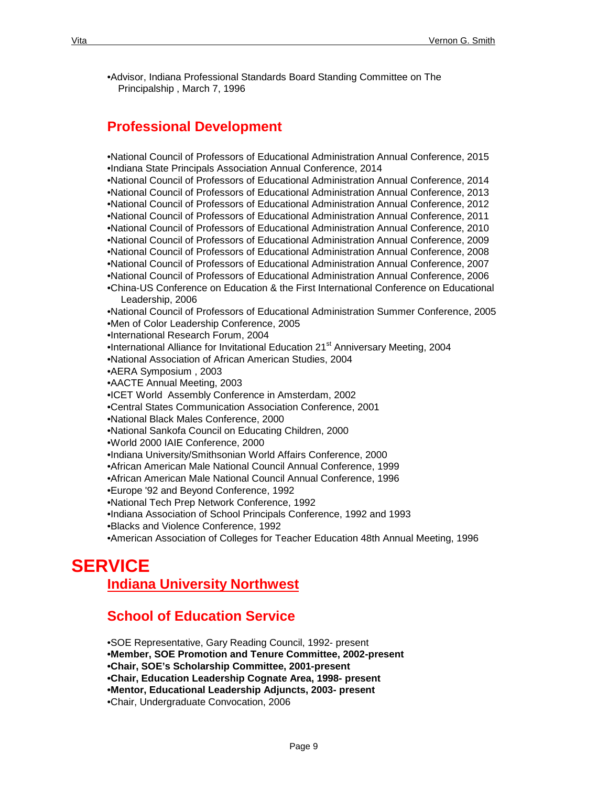•Advisor, Indiana Professional Standards Board Standing Committee on The Principalship , March 7, 1996

# **Professional Development**

•National Council of Professors of Educational Administration Annual Conference, 2015 •Indiana State Principals Association Annual Conference, 2014 •National Council of Professors of Educational Administration Annual Conference, 2014 •National Council of Professors of Educational Administration Annual Conference, 2013 •National Council of Professors of Educational Administration Annual Conference, 2012 •National Council of Professors of Educational Administration Annual Conference, 2011 •National Council of Professors of Educational Administration Annual Conference, 2010 •National Council of Professors of Educational Administration Annual Conference, 2009 •National Council of Professors of Educational Administration Annual Conference, 2008 •National Council of Professors of Educational Administration Annual Conference, 2007 •National Council of Professors of Educational Administration Annual Conference, 2006 •China-US Conference on Education & the First International Conference on Educational Leadership, 2006 •National Council of Professors of Educational Administration Summer Conference, 2005 •Men of Color Leadership Conference, 2005 •International Research Forum, 2004 •International Alliance for Invitational Education 21<sup>st</sup> Anniversary Meeting, 2004 •National Association of African American Studies, 2004 •AERA Symposium , 2003 •AACTE Annual Meeting, 2003 •ICET World Assembly Conference in Amsterdam, 2002 •Central States Communication Association Conference, 2001 •National Black Males Conference, 2000 •National Sankofa Council on Educating Children, 2000 •World 2000 IAIE Conference, 2000 •Indiana University/Smithsonian World Affairs Conference, 2000 •African American Male National Council Annual Conference, 1999 •African American Male National Council Annual Conference, 1996 •Europe '92 and Beyond Conference, 1992 •National Tech Prep Network Conference, 1992 •Indiana Association of School Principals Conference, 1992 and 1993 •Blacks and Violence Conference, 1992 •American Association of Colleges for Teacher Education 48th Annual Meeting, 1996

# **SERVICE**

**Indiana University Northwest**

# **School of Education Service**

•SOE Representative, Gary Reading Council, 1992- present **•Member, SOE Promotion and Tenure Committee, 2002-present •Chair, SOE's Scholarship Committee, 2001-present •Chair, Education Leadership Cognate Area, 1998- present •Mentor, Educational Leadership Adjuncts, 2003- present** •Chair, Undergraduate Convocation, 2006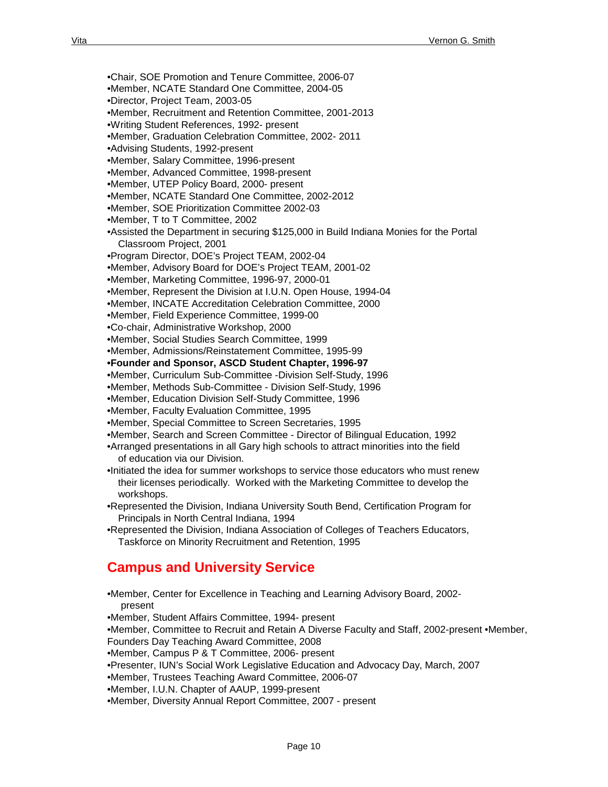- 
- •Chair, SOE Promotion and Tenure Committee, 2006-07
- •Member, NCATE Standard One Committee, 2004-05
- •Director, Project Team, 2003-05
- •Member, Recruitment and Retention Committee, 2001-2013
- •Writing Student References, 1992- present
- •Member, Graduation Celebration Committee, 2002- 2011
- •Advising Students, 1992-present
- •Member, Salary Committee, 1996-present
- •Member, Advanced Committee, 1998-present
- •Member, UTEP Policy Board, 2000- present
- •Member, NCATE Standard One Committee, 2002-2012
- •Member, SOE Prioritization Committee 2002-03
- •Member, T to T Committee, 2002
- •Assisted the Department in securing \$125,000 in Build Indiana Monies for the Portal Classroom Project, 2001
- •Program Director, DOE's Project TEAM, 2002-04
- •Member, Advisory Board for DOE's Project TEAM, 2001-02
- •Member, Marketing Committee, 1996-97, 2000-01
- •Member, Represent the Division at I.U.N. Open House, 1994-04
- •Member, INCATE Accreditation Celebration Committee, 2000
- •Member, Field Experience Committee, 1999-00
- •Co-chair, Administrative Workshop, 2000
- •Member, Social Studies Search Committee, 1999
- •Member, Admissions/Reinstatement Committee, 1995-99
- **•Founder and Sponsor, ASCD Student Chapter, 1996-97**
- •Member, Curriculum Sub-Committee -Division Self-Study, 1996
- •Member, Methods Sub-Committee Division Self-Study, 1996
- •Member, Education Division Self-Study Committee, 1996
- •Member, Faculty Evaluation Committee, 1995
- •Member, Special Committee to Screen Secretaries, 1995
- •Member, Search and Screen Committee Director of Bilingual Education, 1992
- •Arranged presentations in all Gary high schools to attract minorities into the field of education via our Division.
- •Initiated the idea for summer workshops to service those educators who must renew their licenses periodically. Worked with the Marketing Committee to develop the workshops.
- •Represented the Division, Indiana University South Bend, Certification Program for Principals in North Central Indiana, 1994
- •Represented the Division, Indiana Association of Colleges of Teachers Educators, Taskforce on Minority Recruitment and Retention, 1995

# **Campus and University Service**

- •Member, Center for Excellence in Teaching and Learning Advisory Board, 2002 present
- •Member, Student Affairs Committee, 1994- present
- •Member, Committee to Recruit and Retain A Diverse Faculty and Staff, 2002-present •Member,
- Founders Day Teaching Award Committee, 2008
- •Member, Campus P & T Committee, 2006- present
- •Presenter, IUN's Social Work Legislative Education and Advocacy Day, March, 2007
- •Member, Trustees Teaching Award Committee, 2006-07
- •Member, I.U.N. Chapter of AAUP, 1999-present
- •Member, Diversity Annual Report Committee, 2007 present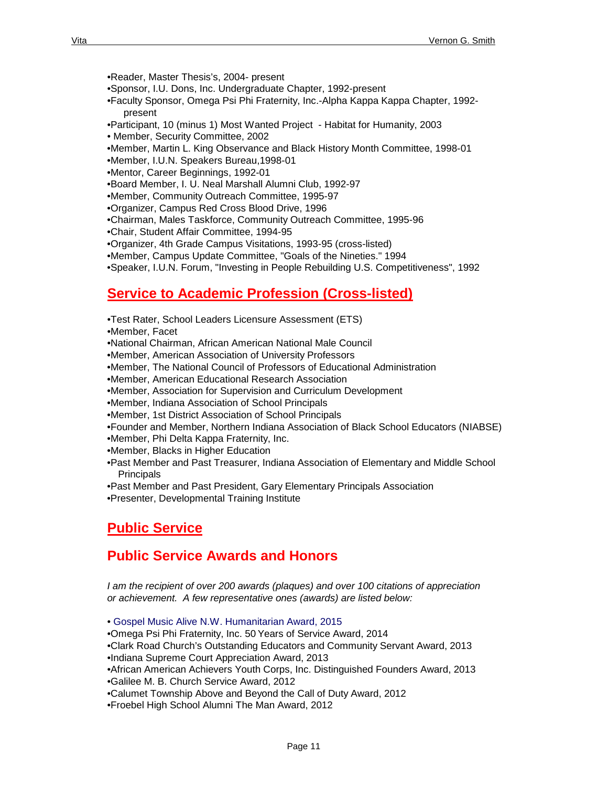•Reader, Master Thesis's, 2004- present

•Sponsor, I.U. Dons, Inc. Undergraduate Chapter, 1992-present

•Faculty Sponsor, Omega Psi Phi Fraternity, Inc.-Alpha Kappa Kappa Chapter, 1992 present

•Participant, 10 (minus 1) Most Wanted Project - Habitat for Humanity, 2003

• Member, Security Committee, 2002

•Member, Martin L. King Observance and Black History Month Committee, 1998-01

•Member, I.U.N. Speakers Bureau,1998-01

•Mentor, Career Beginnings, 1992-01

•Board Member, I. U. Neal Marshall Alumni Club, 1992-97

•Member, Community Outreach Committee, 1995-97

•Organizer, Campus Red Cross Blood Drive, 1996

•Chairman, Males Taskforce, Community Outreach Committee, 1995-96

•Chair, Student Affair Committee, 1994-95

•Organizer, 4th Grade Campus Visitations, 1993-95 (cross-listed)

•Member, Campus Update Committee, "Goals of the Nineties." 1994

•Speaker, I.U.N. Forum, "Investing in People Rebuilding U.S. Competitiveness", 1992

# **Service to Academic Profession (Cross-listed)**

•Test Rater, School Leaders Licensure Assessment (ETS)

•Member, Facet

•National Chairman, African American National Male Council

•Member, American Association of University Professors

•Member, The National Council of Professors of Educational Administration

•Member, American Educational Research Association

•Member, Association for Supervision and Curriculum Development

•Member, Indiana Association of School Principals

•Member, 1st District Association of School Principals

•Founder and Member, Northern Indiana Association of Black School Educators (NIABSE) •Member, Phi Delta Kappa Fraternity, Inc.

•Member, Blacks in Higher Education

•Past Member and Past Treasurer, Indiana Association of Elementary and Middle School

**Principals** 

•Past Member and Past President, Gary Elementary Principals Association

•Presenter, Developmental Training Institute

# **Public Service**

# **Public Service Awards and Honors**

*I am the recipient of over 200 awards (plaques) and over 100 citations of appreciation or achievement. A few representative ones (awards) are listed below:*

• Gospel Music Alive N.W. Humanitarian Award, 2015

•Omega Psi Phi Fraternity, Inc. 50 Years of Service Award, 2014

•Clark Road Church's Outstanding Educators and Community Servant Award, 2013

•Indiana Supreme Court Appreciation Award, 2013

•African American Achievers Youth Corps, Inc. Distinguished Founders Award, 2013

•Galilee M. B. Church Service Award, 2012

•Calumet Township Above and Beyond the Call of Duty Award, 2012

•Froebel High School Alumni The Man Award, 2012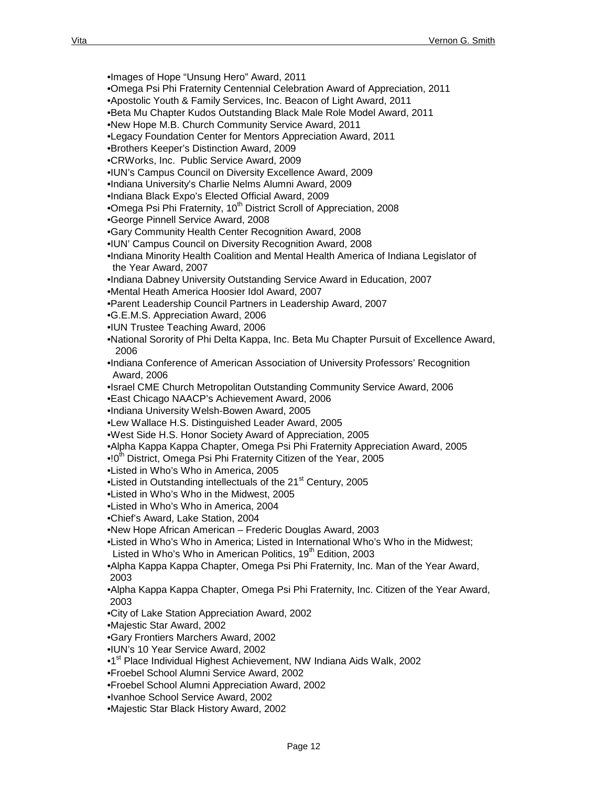•Images of Hope "Unsung Hero" Award, 2011

•Omega Psi Phi Fraternity Centennial Celebration Award of Appreciation, 2011

•Apostolic Youth & Family Services, Inc. Beacon of Light Award, 2011

•Beta Mu Chapter Kudos Outstanding Black Male Role Model Award, 2011

•New Hope M.B. Church Community Service Award, 2011

- •Legacy Foundation Center for Mentors Appreciation Award, 2011
- •Brothers Keeper's Distinction Award, 2009

•CRWorks, Inc. Public Service Award, 2009

•IUN's Campus Council on Diversity Excellence Award, 2009

•Indiana University's Charlie Nelms Alumni Award, 2009

•Indiana Black Expo's Elected Official Award, 2009

•Omega Psi Phi Fraternity, 10<sup>th</sup> District Scroll of Appreciation, 2008

•George Pinnell Service Award, 2008

•Gary Community Health Center Recognition Award, 2008

•IUN' Campus Council on Diversity Recognition Award, 2008

•Indiana Minority Health Coalition and Mental Health America of Indiana Legislator of the Year Award, 2007

•Indiana Dabney University Outstanding Service Award in Education, 2007

•Mental Heath America Hoosier Idol Award, 2007

•Parent Leadership Council Partners in Leadership Award, 2007

•G.E.M.S. Appreciation Award, 2006

•IUN Trustee Teaching Award, 2006

•National Sorority of Phi Delta Kappa, Inc. Beta Mu Chapter Pursuit of Excellence Award, 2006

•Indiana Conference of American Association of University Professors' Recognition Award, 2006

•Israel CME Church Metropolitan Outstanding Community Service Award, 2006

•East Chicago NAACP's Achievement Award, 2006

•Indiana University Welsh-Bowen Award, 2005

•Lew Wallace H.S. Distinguished Leader Award, 2005

•West Side H.S. Honor Society Award of Appreciation, 2005

•Alpha Kappa Kappa Chapter, Omega Psi Phi Fraternity Appreciation Award, 2005

• $10<sup>th</sup>$  District, Omega Psi Phi Fraternity Citizen of the Year, 2005

•Listed in Who's Who in America, 2005

•Listed in Outstanding intellectuals of the 21<sup>st</sup> Century, 2005

•Listed in Who's Who in the Midwest, 2005

•Listed in Who's Who in America, 2004

•Chief's Award, Lake Station, 2004

•New Hope African American – Frederic Douglas Award, 2003

•Listed in Who's Who in America; Listed in International Who's Who in the Midwest; Listed in Who's Who in American Politics,  $19<sup>th</sup>$  Edition, 2003

•Alpha Kappa Kappa Chapter, Omega Psi Phi Fraternity, Inc. Man of the Year Award, 2003

•Alpha Kappa Kappa Chapter, Omega Psi Phi Fraternity, Inc. Citizen of the Year Award, 2003

•City of Lake Station Appreciation Award, 2002

•Majestic Star Award, 2002

•Gary Frontiers Marchers Award, 2002

•IUN's 10 Year Service Award, 2002

•1<sup>st</sup> Place Individual Highest Achievement, NW Indiana Aids Walk, 2002

•Froebel School Alumni Service Award, 2002

•Froebel School Alumni Appreciation Award, 2002

•Ivanhoe School Service Award, 2002

•Majestic Star Black History Award, 2002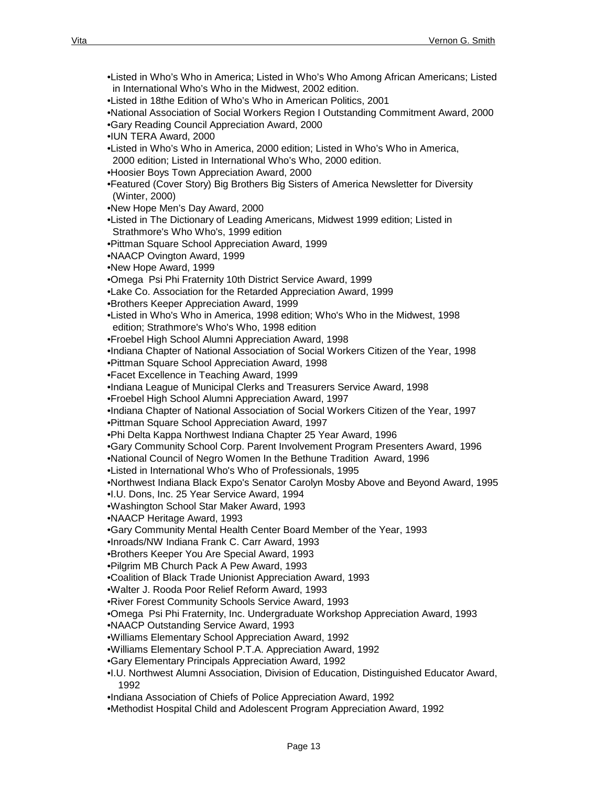•Listed in Who's Who in America; Listed in Who's Who Among African Americans; Listed in International Who's Who in the Midwest, 2002 edition. •Listed in 18the Edition of Who's Who in American Politics, 2001 •National Association of Social Workers Region I Outstanding Commitment Award, 2000 •Gary Reading Council Appreciation Award, 2000 •IUN TERA Award, 2000 •Listed in Who's Who in America, 2000 edition; Listed in Who's Who in America, 2000 edition; Listed in International Who's Who, 2000 edition. •Hoosier Boys Town Appreciation Award, 2000 •Featured (Cover Story) Big Brothers Big Sisters of America Newsletter for Diversity (Winter, 2000) •New Hope Men's Day Award, 2000 •Listed in The Dictionary of Leading Americans, Midwest 1999 edition; Listed in Strathmore's Who Who's, 1999 edition •Pittman Square School Appreciation Award, 1999 •NAACP Ovington Award, 1999 •New Hope Award, 1999 •Omega Psi Phi Fraternity 10th District Service Award, 1999 •Lake Co. Association for the Retarded Appreciation Award, 1999 •Brothers Keeper Appreciation Award, 1999 •Listed in Who's Who in America, 1998 edition; Who's Who in the Midwest, 1998 edition; Strathmore's Who's Who, 1998 edition •Froebel High School Alumni Appreciation Award, 1998 •Indiana Chapter of National Association of Social Workers Citizen of the Year, 1998 •Pittman Square School Appreciation Award, 1998 •Facet Excellence in Teaching Award, 1999 •Indiana League of Municipal Clerks and Treasurers Service Award, 1998 •Froebel High School Alumni Appreciation Award, 1997 •Indiana Chapter of National Association of Social Workers Citizen of the Year, 1997 •Pittman Square School Appreciation Award, 1997 •Phi Delta Kappa Northwest Indiana Chapter 25 Year Award, 1996 •Gary Community School Corp. Parent Involvement Program Presenters Award, 1996 •National Council of Negro Women In the Bethune Tradition Award, 1996 •Listed in International Who's Who of Professionals, 1995 •Northwest Indiana Black Expo's Senator Carolyn Mosby Above and Beyond Award, 1995 •I.U. Dons, Inc. 25 Year Service Award, 1994 •Washington School Star Maker Award, 1993 •NAACP Heritage Award, 1993 •Gary Community Mental Health Center Board Member of the Year, 1993 •Inroads/NW Indiana Frank C. Carr Award, 1993 •Brothers Keeper You Are Special Award, 1993 •Pilgrim MB Church Pack A Pew Award, 1993 •Coalition of Black Trade Unionist Appreciation Award, 1993 •Walter J. Rooda Poor Relief Reform Award, 1993 •River Forest Community Schools Service Award, 1993 •Omega Psi Phi Fraternity, Inc. Undergraduate Workshop Appreciation Award, 1993 •NAACP Outstanding Service Award, 1993 •Williams Elementary School Appreciation Award, 1992 •Williams Elementary School P.T.A. Appreciation Award, 1992 •Gary Elementary Principals Appreciation Award, 1992 •I.U. Northwest Alumni Association, Division of Education, Distinguished Educator Award, 1992 •Indiana Association of Chiefs of Police Appreciation Award, 1992

•Methodist Hospital Child and Adolescent Program Appreciation Award, 1992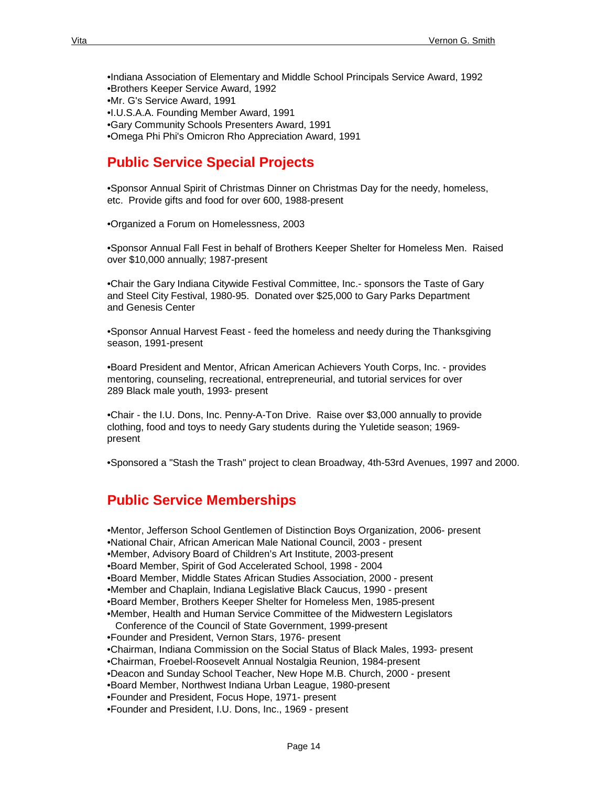•Indiana Association of Elementary and Middle School Principals Service Award, 1992 •Brothers Keeper Service Award, 1992 •Mr. G's Service Award, 1991 •I.U.S.A.A. Founding Member Award, 1991 •Gary Community Schools Presenters Award, 1991 •Omega Phi Phi's Omicron Rho Appreciation Award, 1991

### **Public Service Special Projects**

•Sponsor Annual Spirit of Christmas Dinner on Christmas Day for the needy, homeless, etc. Provide gifts and food for over 600, 1988-present

•Organized a Forum on Homelessness, 2003

•Sponsor Annual Fall Fest in behalf of Brothers Keeper Shelter for Homeless Men. Raised over \$10,000 annually; 1987-present

•Chair the Gary Indiana Citywide Festival Committee, Inc.- sponsors the Taste of Gary and Steel City Festival, 1980-95. Donated over \$25,000 to Gary Parks Department and Genesis Center

•Sponsor Annual Harvest Feast - feed the homeless and needy during the Thanksgiving season, 1991-present

•Board President and Mentor, African American Achievers Youth Corps, Inc. - provides mentoring, counseling, recreational, entrepreneurial, and tutorial services for over 289 Black male youth, 1993- present

•Chair - the I.U. Dons, Inc. Penny-A-Ton Drive. Raise over \$3,000 annually to provide clothing, food and toys to needy Gary students during the Yuletide season; 1969 present

•Sponsored a "Stash the Trash" project to clean Broadway, 4th-53rd Avenues, 1997 and 2000.

# **Public Service Memberships**

•Mentor, Jefferson School Gentlemen of Distinction Boys Organization, 2006- present •National Chair, African American Male National Council, 2003 - present •Member, Advisory Board of Children's Art Institute, 2003-present •Board Member, Spirit of God Accelerated School, 1998 - 2004 •Board Member, Middle States African Studies Association, 2000 - present •Member and Chaplain, Indiana Legislative Black Caucus, 1990 - present •Board Member, Brothers Keeper Shelter for Homeless Men, 1985-present •Member, Health and Human Service Committee of the Midwestern Legislators Conference of the Council of State Government, 1999-present •Founder and President, Vernon Stars, 1976- present •Chairman, Indiana Commission on the Social Status of Black Males, 1993- present •Chairman, Froebel-Roosevelt Annual Nostalgia Reunion, 1984-present •Deacon and Sunday School Teacher, New Hope M.B. Church, 2000 - present •Board Member, Northwest Indiana Urban League, 1980-present

•Founder and President, Focus Hope, 1971- present

•Founder and President, I.U. Dons, Inc., 1969 - present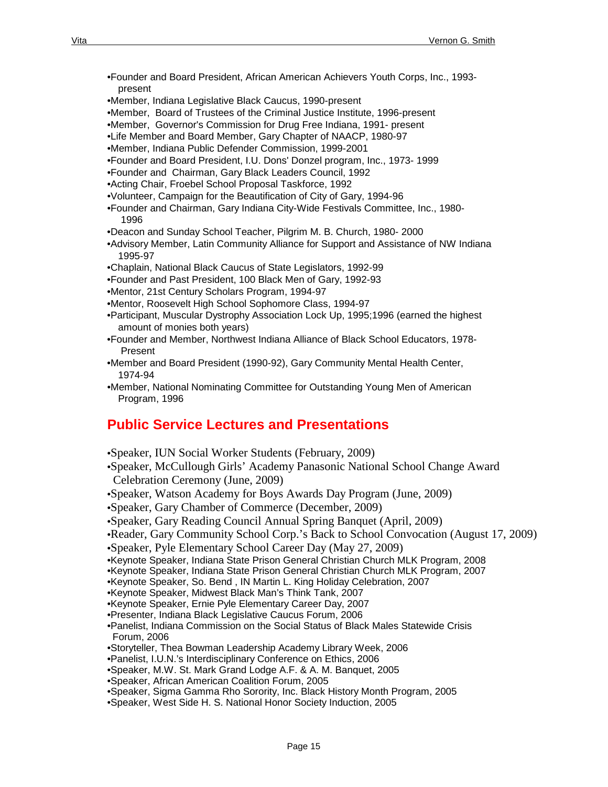- •Founder and Board President, African American Achievers Youth Corps, Inc., 1993 present
- •Member, Indiana Legislative Black Caucus, 1990-present
- •Member, Board of Trustees of the Criminal Justice Institute, 1996-present
- •Member, Governor's Commission for Drug Free Indiana, 1991- present
- •Life Member and Board Member, Gary Chapter of NAACP, 1980-97
- •Member, Indiana Public Defender Commission, 1999-2001
- •Founder and Board President, I.U. Dons' Donzel program, Inc., 1973- 1999
- •Founder and Chairman, Gary Black Leaders Council, 1992
- •Acting Chair, Froebel School Proposal Taskforce, 1992
- •Volunteer, Campaign for the Beautification of City of Gary, 1994-96
- •Founder and Chairman, Gary Indiana City-Wide Festivals Committee, Inc., 1980- 1996
- •Deacon and Sunday School Teacher, Pilgrim M. B. Church, 1980- 2000
- •Advisory Member, Latin Community Alliance for Support and Assistance of NW Indiana 1995-97
- •Chaplain, National Black Caucus of State Legislators, 1992-99
- •Founder and Past President, 100 Black Men of Gary, 1992-93
- •Mentor, 21st Century Scholars Program, 1994-97
- •Mentor, Roosevelt High School Sophomore Class, 1994-97
- •Participant, Muscular Dystrophy Association Lock Up, 1995;1996 (earned the highest amount of monies both years)
- •Founder and Member, Northwest Indiana Alliance of Black School Educators, 1978- Present
- •Member and Board President (1990-92), Gary Community Mental Health Center, 1974-94
- •Member, National Nominating Committee for Outstanding Young Men of American Program, 1996

### **Public Service Lectures and Presentations**

•Speaker, IUN Social Worker Students (February, 2009) •Speaker, McCullough Girls' Academy Panasonic National School Change Award Celebration Ceremony (June, 2009) •Speaker, Watson Academy for Boys Awards Day Program (June, 2009) •Speaker, Gary Chamber of Commerce (December, 2009) •Speaker, Gary Reading Council Annual Spring Banquet (April, 2009) •Reader, Gary Community School Corp.'s Back to School Convocation (August 17, 2009) •Speaker, Pyle Elementary School Career Day (May 27, 2009) •Keynote Speaker, Indiana State Prison General Christian Church MLK Program, 2008 •Keynote Speaker, Indiana State Prison General Christian Church MLK Program, 2007 •Keynote Speaker, So. Bend , IN Martin L. King Holiday Celebration, 2007 •Keynote Speaker, Midwest Black Man's Think Tank, 2007 •Keynote Speaker, Ernie Pyle Elementary Career Day, 2007 •Presenter, Indiana Black Legislative Caucus Forum, 2006 •Panelist, Indiana Commission on the Social Status of Black Males Statewide Crisis Forum, 2006 •Storyteller, Thea Bowman Leadership Academy Library Week, 2006 •Panelist, I.U.N.'s Interdisciplinary Conference on Ethics, 2006 •Speaker, M.W. St. Mark Grand Lodge A.F. & A. M. Banquet, 2005 •Speaker, African American Coalition Forum, 2005 •Speaker, Sigma Gamma Rho Sorority, Inc. Black History Month Program, 2005 •Speaker, West Side H. S. National Honor Society Induction, 2005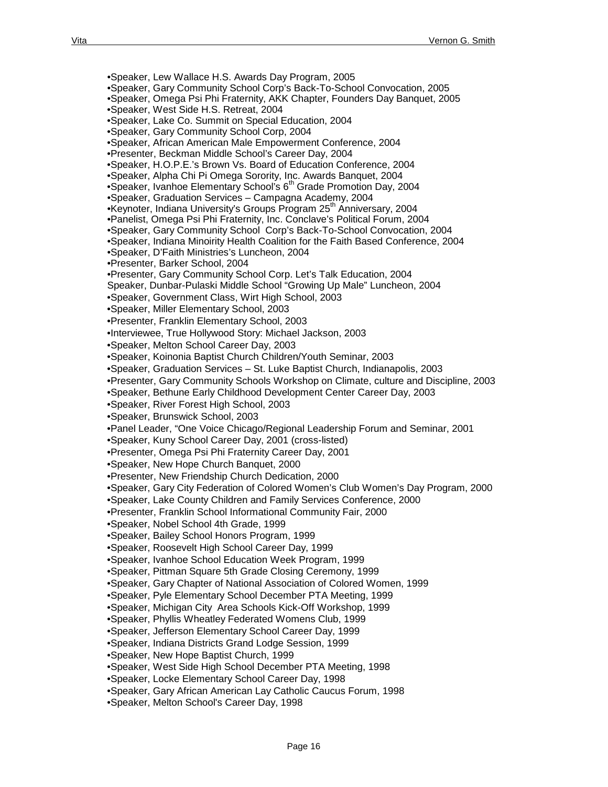•Speaker, Lew Wallace H.S. Awards Day Program, 2005 •Speaker, Gary Community School Corp's Back-To-School Convocation, 2005 •Speaker, Omega Psi Phi Fraternity, AKK Chapter, Founders Day Banquet, 2005 •Speaker, West Side H.S. Retreat, 2004 •Speaker, Lake Co. Summit on Special Education, 2004 •Speaker, Gary Community School Corp, 2004 •Speaker, African American Male Empowerment Conference, 2004 •Presenter, Beckman Middle School's Career Day, 2004 •Speaker, H.O.P.E.'s Brown Vs. Board of Education Conference, 2004 •Speaker, Alpha Chi Pi Omega Sorority, Inc. Awards Banquet, 2004 •Speaker, Ivanhoe Elementary School's  $6<sup>th</sup>$  Grade Promotion Day, 2004 •Speaker, Graduation Services – Campagna Academy, 2004 •Keynoter, Indiana University's Groups Program 25<sup>th</sup> Anniversary, 2004 •Panelist, Omega Psi Phi Fraternity, Inc. Conclave's Political Forum, 2004 •Speaker, Gary Community School Corp's Back-To-School Convocation, 2004 •Speaker, Indiana Minoirity Health Coalition for the Faith Based Conference, 2004 •Speaker, D'Faith Ministries's Luncheon, 2004 •Presenter, Barker School, 2004 •Presenter, Gary Community School Corp. Let's Talk Education, 2004 Speaker, Dunbar-Pulaski Middle School "Growing Up Male" Luncheon, 2004 •Speaker, Government Class, Wirt High School, 2003 •Speaker, Miller Elementary School, 2003 •Presenter, Franklin Elementary School, 2003 •Interviewee, True Hollywood Story: Michael Jackson, 2003 •Speaker, Melton School Career Day, 2003 •Speaker, Koinonia Baptist Church Children/Youth Seminar, 2003 •Speaker, Graduation Services – St. Luke Baptist Church, Indianapolis, 2003 •Presenter, Gary Community Schools Workshop on Climate, culture and Discipline, 2003 •Speaker, Bethune Early Childhood Development Center Career Day, 2003 •Speaker, River Forest High School, 2003 •Speaker, Brunswick School, 2003 •Panel Leader, "One Voice Chicago/Regional Leadership Forum and Seminar, 2001 •Speaker, Kuny School Career Day, 2001 (cross-listed) •Presenter, Omega Psi Phi Fraternity Career Day, 2001 •Speaker, New Hope Church Banquet, 2000 •Presenter, New Friendship Church Dedication, 2000 •Speaker, Gary City Federation of Colored Women's Club Women's Day Program, 2000 •Speaker, Lake County Children and Family Services Conference, 2000 •Presenter, Franklin School Informational Community Fair, 2000 •Speaker, Nobel School 4th Grade, 1999 •Speaker, Bailey School Honors Program, 1999 •Speaker, Roosevelt High School Career Day, 1999 •Speaker, Ivanhoe School Education Week Program, 1999 •Speaker, Pittman Square 5th Grade Closing Ceremony, 1999 •Speaker, Gary Chapter of National Association of Colored Women, 1999 •Speaker, Pyle Elementary School December PTA Meeting, 1999 •Speaker, Michigan City Area Schools Kick-Off Workshop, 1999 •Speaker, Phyllis Wheatley Federated Womens Club, 1999 •Speaker, Jefferson Elementary School Career Day, 1999 •Speaker, Indiana Districts Grand Lodge Session, 1999 •Speaker, New Hope Baptist Church, 1999 •Speaker, West Side High School December PTA Meeting, 1998 •Speaker, Locke Elementary School Career Day, 1998 •Speaker, Gary African American Lay Catholic Caucus Forum, 1998

•Speaker, Melton School's Career Day, 1998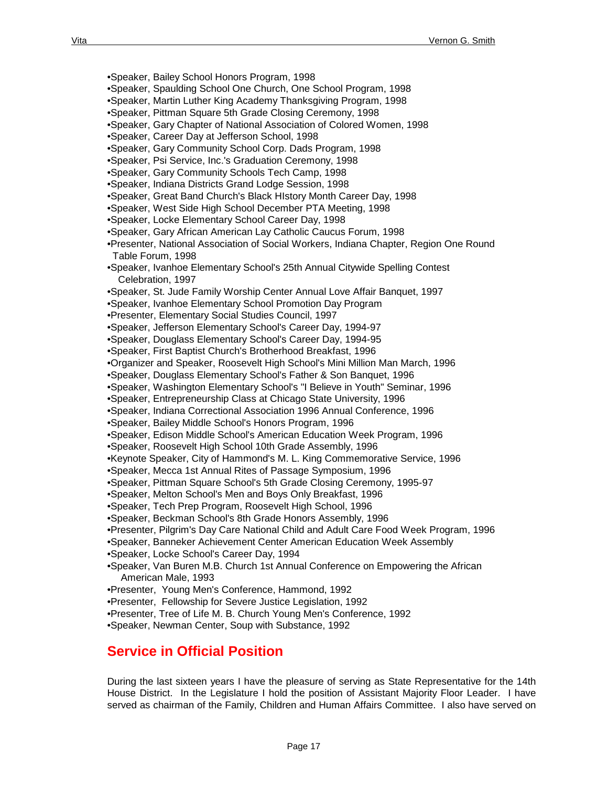•Speaker, Bailey School Honors Program, 1998 •Speaker, Spaulding School One Church, One School Program, 1998 •Speaker, Martin Luther King Academy Thanksgiving Program, 1998 •Speaker, Pittman Square 5th Grade Closing Ceremony, 1998 •Speaker, Gary Chapter of National Association of Colored Women, 1998 •Speaker, Career Day at Jefferson School, 1998 •Speaker, Gary Community School Corp. Dads Program, 1998 •Speaker, Psi Service, Inc.'s Graduation Ceremony, 1998 •Speaker, Gary Community Schools Tech Camp, 1998 •Speaker, Indiana Districts Grand Lodge Session, 1998 •Speaker, Great Band Church's Black HIstory Month Career Day, 1998 •Speaker, West Side High School December PTA Meeting, 1998 •Speaker, Locke Elementary School Career Day, 1998 •Speaker, Gary African American Lay Catholic Caucus Forum, 1998 •Presenter, National Association of Social Workers, Indiana Chapter, Region One Round Table Forum, 1998 •Speaker, Ivanhoe Elementary School's 25th Annual Citywide Spelling Contest Celebration, 1997 •Speaker, St. Jude Family Worship Center Annual Love Affair Banquet, 1997 •Speaker, Ivanhoe Elementary School Promotion Day Program •Presenter, Elementary Social Studies Council, 1997 •Speaker, Jefferson Elementary School's Career Day, 1994-97 •Speaker, Douglass Elementary School's Career Day, 1994-95 •Speaker, First Baptist Church's Brotherhood Breakfast, 1996 •Organizer and Speaker, Roosevelt High School's Mini Million Man March, 1996 •Speaker, Douglass Elementary School's Father & Son Banquet, 1996 •Speaker, Washington Elementary School's "I Believe in Youth" Seminar, 1996 •Speaker, Entrepreneurship Class at Chicago State University, 1996 •Speaker, Indiana Correctional Association 1996 Annual Conference, 1996 •Speaker, Bailey Middle School's Honors Program, 1996 •Speaker, Edison Middle School's American Education Week Program, 1996 •Speaker, Roosevelt High School 10th Grade Assembly, 1996 •Keynote Speaker, City of Hammond's M. L. King Commemorative Service, 1996 •Speaker, Mecca 1st Annual Rites of Passage Symposium, 1996 •Speaker, Pittman Square School's 5th Grade Closing Ceremony, 1995-97 •Speaker, Melton School's Men and Boys Only Breakfast, 1996 •Speaker, Tech Prep Program, Roosevelt High School, 1996 •Speaker, Beckman School's 8th Grade Honors Assembly, 1996 •Presenter, Pilgrim's Day Care National Child and Adult Care Food Week Program, 1996 •Speaker, Banneker Achievement Center American Education Week Assembly •Speaker, Locke School's Career Day, 1994 •Speaker, Van Buren M.B. Church 1st Annual Conference on Empowering the African American Male, 1993 •Presenter, Young Men's Conference, Hammond, 1992 •Presenter, Fellowship for Severe Justice Legislation, 1992 •Presenter, Tree of Life M. B. Church Young Men's Conference, 1992 •Speaker, Newman Center, Soup with Substance, 1992

### **Service in Official Position**

During the last sixteen years I have the pleasure of serving as State Representative for the 14th House District. In the Legislature I hold the position of Assistant Majority Floor Leader. I have served as chairman of the Family, Children and Human Affairs Committee. I also have served on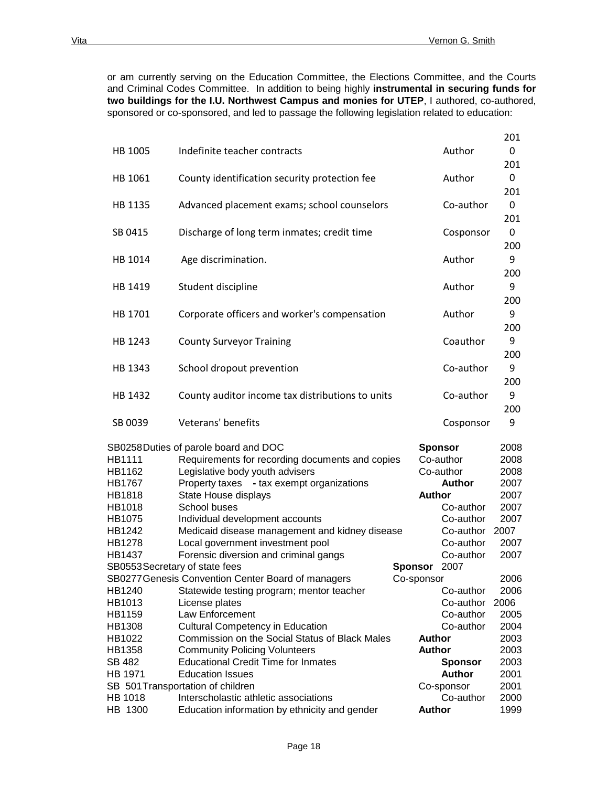or am currently serving on the Education Committee, the Elections Committee, and the Courts and Criminal Codes Committee. In addition to being highly **instrumental in securing funds for two buildings for the I.U. Northwest Campus and monies for UTEP**, I authored, co-authored, sponsored or co-sponsored, and led to passage the following legislation related to education:

|                                |                                                    |                |                | 201  |
|--------------------------------|----------------------------------------------------|----------------|----------------|------|
| HB 1005                        | Indefinite teacher contracts                       |                | Author         | 0    |
|                                |                                                    |                |                | 201  |
| HB 1061                        | County identification security protection fee      |                | Author         | 0    |
|                                |                                                    |                |                | 201  |
| HB 1135                        | Advanced placement exams; school counselors        |                | Co-author      | 0    |
|                                |                                                    |                |                | 201  |
| SB 0415                        | Discharge of long term inmates; credit time        |                | Cosponsor      | 0    |
|                                |                                                    |                |                | 200  |
| HB 1014                        | Age discrimination.                                |                | Author         | 9    |
|                                |                                                    |                |                | 200  |
| HB 1419                        | Student discipline                                 |                | Author         | 9    |
|                                |                                                    |                |                | 200  |
| HB 1701                        | Corporate officers and worker's compensation       |                | Author         | 9    |
|                                |                                                    |                |                | 200  |
| HB 1243                        | <b>County Surveyor Training</b>                    |                | Coauthor       | 9    |
|                                |                                                    |                |                | 200  |
|                                |                                                    |                | Co-author      | 9    |
| HB 1343                        | School dropout prevention                          |                |                |      |
|                                |                                                    |                |                | 200  |
| HB 1432                        | County auditor income tax distributions to units   |                | Co-author      | 9    |
|                                |                                                    |                |                | 200  |
| SB 0039                        | Veterans' benefits                                 |                | Cosponsor      | 9    |
|                                | SB0258Duties of parole board and DOC               |                | <b>Sponsor</b> | 2008 |
| HB1111                         | Requirements for recording documents and copies    |                | Co-author      | 2008 |
| HB1162                         | Legislative body youth advisers                    |                | Co-author      | 2008 |
| HB1767                         | Property taxes - tax exempt organizations          |                | <b>Author</b>  | 2007 |
| HB1818                         | State House displays                               |                | <b>Author</b>  | 2007 |
| HB1018                         | School buses                                       |                | Co-author      | 2007 |
| HB1075                         | Individual development accounts                    |                | Co-author      | 2007 |
| HB1242                         | Medicaid disease management and kidney disease     |                | Co-author      | 2007 |
| HB1278                         | Local government investment pool                   |                | Co-author      | 2007 |
| HB1437                         | Forensic diversion and criminal gangs              |                | Co-author      | 2007 |
| SB0553 Secretary of state fees |                                                    | <b>Sponsor</b> | 2007           |      |
|                                | SB0277 Genesis Convention Center Board of managers | Co-sponsor     |                | 2006 |
| HB1240                         | Statewide testing program; mentor teacher          |                | Co-author      | 2006 |
| HB1013                         | License plates                                     |                | Co-author      | 2006 |
| HB1159                         | Law Enforcement                                    |                | Co-author      | 2005 |
| HB1308                         | <b>Cultural Competency in Education</b>            |                | Co-author      | 2004 |
| HB1022                         | Commission on the Social Status of Black Males     |                | <b>Author</b>  | 2003 |
| HB1358                         | <b>Community Policing Volunteers</b>               |                | <b>Author</b>  | 2003 |
| SB 482                         | <b>Educational Credit Time for Inmates</b>         |                | <b>Sponsor</b> | 2003 |
| HB 1971                        | <b>Education Issues</b>                            |                | <b>Author</b>  | 2001 |
|                                | SB 501 Transportation of children                  |                | Co-sponsor     | 2001 |
| HB 1018                        | Interscholastic athletic associations              |                | Co-author      | 2000 |
| HB 1300                        | Education information by ethnicity and gender      |                | <b>Author</b>  | 1999 |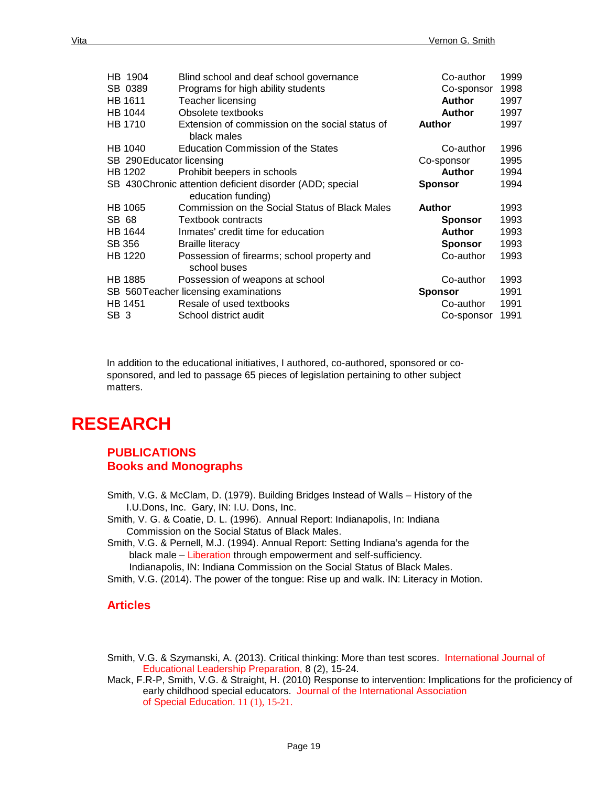| HB 1904                   | Blind school and deaf school governance                   | Co-author      | 1999 |
|---------------------------|-----------------------------------------------------------|----------------|------|
| SB 0389                   | Programs for high ability students                        | Co-sponsor     | 1998 |
| HB 1611                   | Teacher licensing                                         | <b>Author</b>  | 1997 |
| HB 1044                   | Obsolete textbooks                                        | <b>Author</b>  | 1997 |
| <b>HB 1710</b>            | Extension of commission on the social status of           | <b>Author</b>  | 1997 |
|                           | black males                                               |                |      |
| HB 1040                   | <b>Education Commission of the States</b>                 | Co-author      | 1996 |
| SB 290 Educator licensing |                                                           | Co-sponsor     | 1995 |
| HB 1202                   | Prohibit beepers in schools                               | <b>Author</b>  | 1994 |
|                           | SB 430 Chronic attention deficient disorder (ADD; special | <b>Sponsor</b> | 1994 |
|                           | education funding)                                        |                |      |
| HB 1065                   | Commission on the Social Status of Black Males            | <b>Author</b>  | 1993 |
| SB 68                     | <b>Textbook contracts</b>                                 | <b>Sponsor</b> | 1993 |
| <b>HB 1644</b>            | Inmates' credit time for education                        | <b>Author</b>  | 1993 |
| SB 356                    | <b>Braille literacy</b>                                   | Sponsor        | 1993 |
| HB 1220                   | Possession of firearms; school property and               | Co-author      | 1993 |
|                           | school buses                                              |                |      |
| <b>HB 1885</b>            | Possession of weapons at school                           | Co-author      | 1993 |
|                           | SB 560 Teacher licensing examinations                     | <b>Sponsor</b> | 1991 |
| HB 1451                   | Resale of used textbooks                                  | Co-author      | 1991 |
| SB <sub>3</sub>           | School district audit                                     | Co-sponsor     | 1991 |

In addition to the educational initiatives, I authored, co-authored, sponsored or cosponsored, and led to passage 65 pieces of legislation pertaining to other subject matters.

# **RESEARCH**

### **PUBLICATIONS Books and Monographs**

- Smith, V.G. & McClam, D. (1979). Building Bridges Instead of Walls History of the I.U.Dons, Inc. Gary, IN: I.U. Dons, Inc.
- Smith, V. G. & Coatie, D. L. (1996). Annual Report: Indianapolis, In: Indiana Commission on the Social Status of Black Males.
- Smith, V.G. & Pernell, M.J. (1994). Annual Report: Setting Indiana's agenda for the black male – Liberation through empowerment and self-sufficiency.

Indianapolis, IN: Indiana Commission on the Social Status of Black Males.

Smith, V.G. (2014). The power of the tongue: Rise up and walk. IN: Literacy in Motion.

### **Articles**

- Smith, V.G. & Szymanski, A. (2013). Critical thinking: More than test scores. International Journal of Educational Leadership Preparation, 8 (2), 15-24.
- Mack, F.R-P, Smith, V.G. & Straight, H. (2010) Response to intervention: Implications for the proficiency of early childhood special educators. Journal of the International Association of Special Education. 11 (1), 15-21.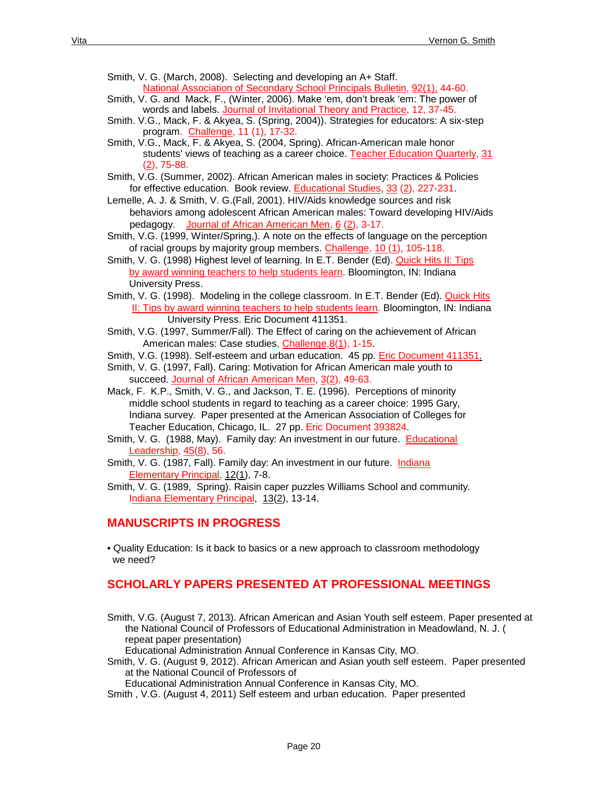- Smith, V. G. (March, 2008). Selecting and developing an A+ Staff. National Association of Secondary School Principals Bulletin, 92(1), 44-60.
- Smith, V. G. and Mack, F., (Winter, 2006). Make 'em, don't break 'em: The power of words and labels. Journal of Invitational Theory and Practice, 12, 37-45.
- Smith. V.G., Mack, F. & Akyea, S. (Spring, 2004)). Strategies for educators: A six-step program. Challenge, 11 (1), 17-32.
- Smith, V.G., Mack, F. & Akyea, S. (2004, Spring). African-American male honor students' views of teaching as a career choice. Teacher Education Quarterly, 31 (2), 75-88.
- Smith, V.G. (Summer, 2002). African American males in society: Practices & Policies for effective education. Book review. Educational Studies, 33 (2), 227-231.
- Lemelle, A. J. & Smith, V. G.(Fall, 2001). HIV/Aids knowledge sources and risk behaviors among adolescent African American males: Toward developing HIV/Aids pedagogy. Journal of African American Men, 6 (2), 3-17.
- Smith, V.G. (1999, Winter/Spring,). A note on the effects of language on the perception of racial groups by majority group members. Challenge, 10 (1), 105-118.
- Smith, V. G. (1998) Highest level of learning. In E.T. Bender (Ed). Quick Hits II: Tips by award winning teachers to help students learn. Bloomington, IN: Indiana University Press.
- Smith, V. G. (1998). Modeling in the college classroom. In E.T. Bender (Ed). Quick Hits II: Tips by award winning teachers to help students learn. Bloomington, IN: Indiana University Press. Eric Document 411351.
- Smith, V.G. (1997, Summer/Fall). The Effect of caring on the achievement of African American males: Case studies, Challenge, 8(1), 1-15.
- Smith, V.G. (1998). Self-esteem and urban education. 45 pp. Eric Document 411351.
- Smith, V. G. (1997, Fall). Caring: Motivation for African American male youth to succeed. Journal of African American Men, 3(2), 49-63.
- Mack, F. K.P., Smith, V. G., and Jackson, T. E. (1996). Perceptions of minority middle school students in regard to teaching as a career choice: 1995 Gary, Indiana survey. Paper presented at the American Association of Colleges for Teacher Education, Chicago, IL. 27 pp. Eric Document 393824.
- Smith, V. G. (1988, May). Family day: An investment in our future. Educational Leadership, 45(8), 56.
- Smith, V. G. (1987, Fall). Family day: An investment in our future. Indiana Elementary Principal, 12(1), 7-8.
- Smith, V. G. (1989, Spring). Raisin caper puzzles Williams School and community. Indiana Elementary Principal, 13(2), 13-14.

### **MANUSCRIPTS IN PROGRESS**

• Quality Education: Is it back to basics or a new approach to classroom methodology we need?

### **SCHOLARLY PAPERS PRESENTED AT PROFESSIONAL MEETINGS**

Smith, V.G. (August 7, 2013). African American and Asian Youth self esteem. Paper presented at the National Council of Professors of Educational Administration in Meadowland, N. J. ( repeat paper presentation)

Educational Administration Annual Conference in Kansas City, MO.

Smith, V. G. (August 9, 2012). African American and Asian youth self esteem. Paper presented at the National Council of Professors of

Educational Administration Annual Conference in Kansas City, MO.

Smith , V.G. (August 4, 2011) Self esteem and urban education. Paper presented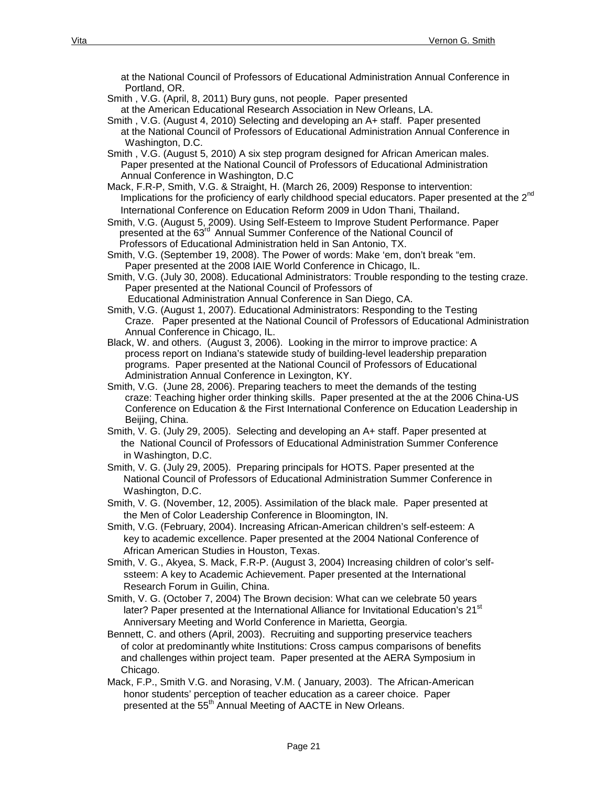at the National Council of Professors of Educational Administration Annual Conference in Portland, OR.

- Smith , V.G. (April, 8, 2011) Bury guns, not people. Paper presented at the American Educational Research Association in New Orleans, LA.
- Smith , V.G. (August 4, 2010) Selecting and developing an A+ staff. Paper presented at the National Council of Professors of Educational Administration Annual Conference in Washington, D.C.
- Smith , V.G. (August 5, 2010) A six step program designed for African American males. Paper presented at the National Council of Professors of Educational Administration Annual Conference in Washington, D.C
- Mack, F.R-P, Smith, V.G. & Straight, H. (March 26, 2009) Response to intervention: Implications for the proficiency of early childhood special educators. Paper presented at the 2<sup>nd</sup> International Conference on Education Reform 2009 in Udon Thani, Thailand.
- Smith, V.G. (August 5, 2009). Using Self-Esteem to Improve Student Performance. Paper presented at the 63<sup>rd</sup> Annual Summer Conference of the National Council of Professors of Educational Administration held in San Antonio, TX.
- Smith, V.G. (September 19, 2008). The Power of words: Make 'em, don't break "em. Paper presented at the 2008 IAIE World Conference in Chicago, IL.
- Smith, V.G. (July 30, 2008). Educational Administrators: Trouble responding to the testing craze. Paper presented at the National Council of Professors of Educational Administration Annual Conference in San Diego, CA.
- Smith, V.G. (August 1, 2007). Educational Administrators: Responding to the Testing Craze. Paper presented at the National Council of Professors of Educational Administration Annual Conference in Chicago, IL.
- Black, W. and others. (August 3, 2006). Looking in the mirror to improve practice: A process report on Indiana's statewide study of building-level leadership preparation programs. Paper presented at the National Council of Professors of Educational Administration Annual Conference in Lexington, KY.
- Smith, V.G. (June 28, 2006). Preparing teachers to meet the demands of the testing craze: Teaching higher order thinking skills. Paper presented at the at the 2006 China-US Conference on Education & the First International Conference on Education Leadership in Beijing, China.
- Smith, V. G. (July 29, 2005). Selecting and developing an A+ staff. Paper presented at the National Council of Professors of Educational Administration Summer Conference in Washington, D.C.
- Smith, V. G. (July 29, 2005). Preparing principals for HOTS. Paper presented at the National Council of Professors of Educational Administration Summer Conference in Washington, D.C.
- Smith, V. G. (November, 12, 2005). Assimilation of the black male. Paper presented at the Men of Color Leadership Conference in Bloomington, IN.
- Smith, V.G. (February, 2004). Increasing African-American children's self-esteem: A key to academic excellence. Paper presented at the 2004 National Conference of African American Studies in Houston, Texas.
- Smith, V. G., Akyea, S. Mack, F.R-P. (August 3, 2004) Increasing children of color's self ssteem: A key to Academic Achievement. Paper presented at the International Research Forum in Guilin, China.
- Smith, V. G. (October 7, 2004) The Brown decision: What can we celebrate 50 years later? Paper presented at the International Alliance for Invitational Education's 21<sup>st</sup> Anniversary Meeting and World Conference in Marietta, Georgia.
- Bennett, C. and others (April, 2003). Recruiting and supporting preservice teachers of color at predominantly white Institutions: Cross campus comparisons of benefits and challenges within project team. Paper presented at the AERA Symposium in Chicago.
- Mack, F.P., Smith V.G. and Norasing, V.M. ( January, 2003). The African-American honor students' perception of teacher education as a career choice. Paper presented at the 55<sup>th</sup> Annual Meeting of AACTE in New Orleans.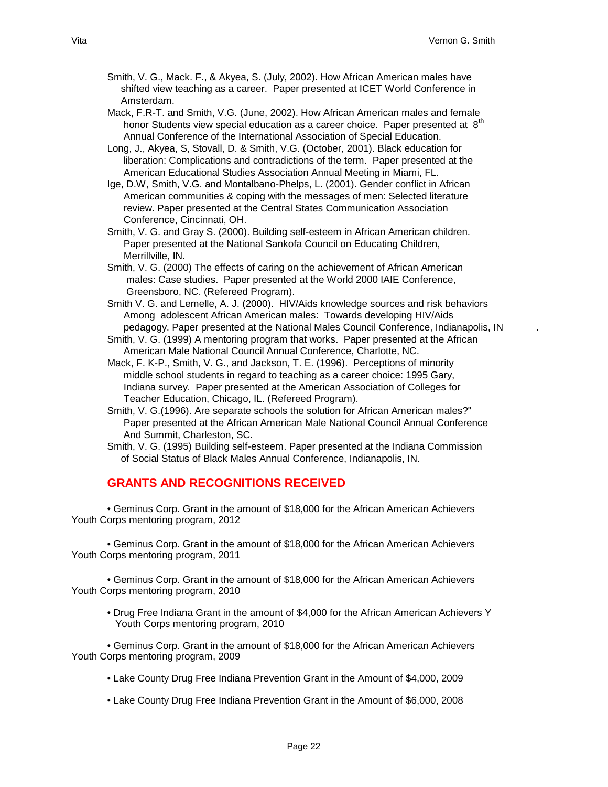- Smith, V. G., Mack. F., & Akyea, S. (July, 2002). How African American males have shifted view teaching as a career. Paper presented at ICET World Conference in Amsterdam.
- Mack, F.R-T. and Smith, V.G. (June, 2002). How African American males and female honor Students view special education as a career choice. Paper presented at  $8<sup>th</sup>$ Annual Conference of the International Association of Special Education.
- Long, J., Akyea, S, Stovall, D. & Smith, V.G. (October, 2001). Black education for liberation: Complications and contradictions of the term. Paper presented at the American Educational Studies Association Annual Meeting in Miami, FL.
- Ige, D.W, Smith, V.G. and Montalbano-Phelps, L. (2001). Gender conflict in African American communities & coping with the messages of men: Selected literature review. Paper presented at the Central States Communication Association Conference, Cincinnati, OH.
- Smith, V. G. and Gray S. (2000). Building self-esteem in African American children. Paper presented at the National Sankofa Council on Educating Children, Merrillville, IN.
- Smith, V. G. (2000) The effects of caring on the achievement of African American males: Case studies. Paper presented at the World 2000 IAIE Conference, Greensboro, NC. (Refereed Program).
- Smith V. G. and Lemelle, A. J. (2000). HIV/Aids knowledge sources and risk behaviors Among adolescent African American males: Towards developing HIV/Aids pedagogy. Paper presented at the National Males Council Conference, Indianapolis, IN .
- Smith, V. G. (1999) A mentoring program that works. Paper presented at the African American Male National Council Annual Conference, Charlotte, NC.
- Mack, F. K-P., Smith, V. G., and Jackson, T. E. (1996). Perceptions of minority middle school students in regard to teaching as a career choice: 1995 Gary, Indiana survey. Paper presented at the American Association of Colleges for Teacher Education, Chicago, IL. (Refereed Program).
- Smith, V. G.(1996). Are separate schools the solution for African American males?" Paper presented at the African American Male National Council Annual Conference And Summit, Charleston, SC.
- Smith, V. G. (1995) Building self-esteem. Paper presented at the Indiana Commission of Social Status of Black Males Annual Conference, Indianapolis, IN.

### **GRANTS AND RECOGNITIONS RECEIVED**

• Geminus Corp. Grant in the amount of \$18,000 for the African American Achievers Youth Corps mentoring program, 2012

• Geminus Corp. Grant in the amount of \$18,000 for the African American Achievers Youth Corps mentoring program, 2011

• Geminus Corp. Grant in the amount of \$18,000 for the African American Achievers Youth Corps mentoring program, 2010

• Drug Free Indiana Grant in the amount of \$4,000 for the African American Achievers Y Youth Corps mentoring program, 2010

• Geminus Corp. Grant in the amount of \$18,000 for the African American Achievers Youth Corps mentoring program, 2009

- Lake County Drug Free Indiana Prevention Grant in the Amount of \$4,000, 2009
- Lake County Drug Free Indiana Prevention Grant in the Amount of \$6,000, 2008